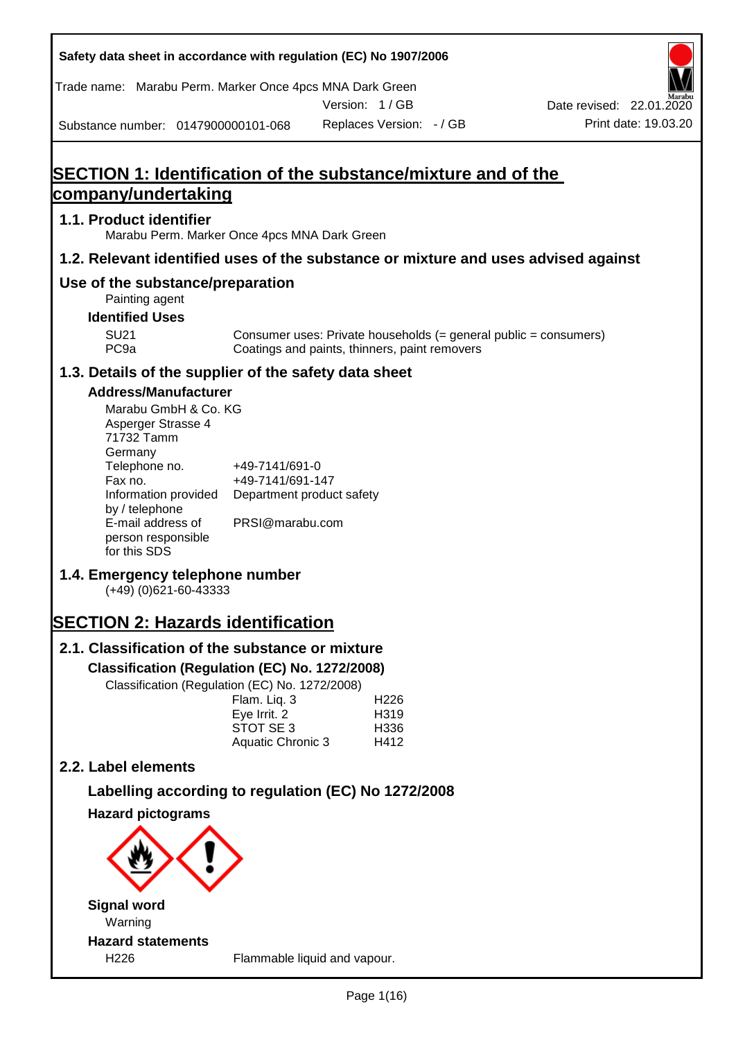| Safety data sheet in accordance with regulation (EC) No 1907/2006                                                                                                                                                                                                                                                                                                                                                                                                                                  |                                                                                                                                                      |               |                                          |                                                                  |
|----------------------------------------------------------------------------------------------------------------------------------------------------------------------------------------------------------------------------------------------------------------------------------------------------------------------------------------------------------------------------------------------------------------------------------------------------------------------------------------------------|------------------------------------------------------------------------------------------------------------------------------------------------------|---------------|------------------------------------------|------------------------------------------------------------------|
| Trade name: Marabu Perm. Marker Once 4pcs MNA Dark Green                                                                                                                                                                                                                                                                                                                                                                                                                                           |                                                                                                                                                      |               |                                          |                                                                  |
|                                                                                                                                                                                                                                                                                                                                                                                                                                                                                                    |                                                                                                                                                      | Version: 1/GB |                                          | Date revised: 22.01.2020                                         |
| Substance number: 0147900000101-068                                                                                                                                                                                                                                                                                                                                                                                                                                                                |                                                                                                                                                      |               | Replaces Version: - / GB                 | Print date: 19.03.20                                             |
| SECTION 1: Identification of the substance/mixture and of the                                                                                                                                                                                                                                                                                                                                                                                                                                      |                                                                                                                                                      |               |                                          |                                                                  |
| company/undertaking                                                                                                                                                                                                                                                                                                                                                                                                                                                                                |                                                                                                                                                      |               |                                          |                                                                  |
| 1.1. Product identifier<br>Marabu Perm. Marker Once 4pcs MNA Dark Green                                                                                                                                                                                                                                                                                                                                                                                                                            |                                                                                                                                                      |               |                                          |                                                                  |
| 1.2. Relevant identified uses of the substance or mixture and uses advised against                                                                                                                                                                                                                                                                                                                                                                                                                 |                                                                                                                                                      |               |                                          |                                                                  |
| Use of the substance/preparation<br>Painting agent                                                                                                                                                                                                                                                                                                                                                                                                                                                 |                                                                                                                                                      |               |                                          |                                                                  |
| <b>Identified Uses</b>                                                                                                                                                                                                                                                                                                                                                                                                                                                                             |                                                                                                                                                      |               |                                          |                                                                  |
| <b>SU21</b><br>PC <sub>9a</sub>                                                                                                                                                                                                                                                                                                                                                                                                                                                                    | Coatings and paints, thinners, paint removers                                                                                                        |               |                                          | Consumer uses: Private households (= general public = consumers) |
| 1.3. Details of the supplier of the safety data sheet                                                                                                                                                                                                                                                                                                                                                                                                                                              |                                                                                                                                                      |               |                                          |                                                                  |
| <b>Address/Manufacturer</b><br>Marabu GmbH & Co. KG<br>Asperger Strasse 4<br>71732 Tamm<br>Germany<br>Telephone no.<br>Fax no.<br>Information provided<br>by / telephone<br>E-mail address of<br>person responsible<br>for this SDS<br>1.4. Emergency telephone number<br>(+49) (0)621-60-43333<br><b>SECTION 2: Hazards identification</b><br>2.1. Classification of the substance or mixture<br>Classification (Regulation (EC) No. 1272/2008)<br>Classification (Regulation (EC) No. 1272/2008) | +49-7141/691-0<br>+49-7141/691-147<br>Department product safety<br>PRSI@marabu.com<br>Flam. Liq. 3<br>Eye Irrit. 2<br>STOT SE 3<br>Aquatic Chronic 3 |               | H <sub>226</sub><br>H319<br>H336<br>H412 |                                                                  |
| 2.2. Label elements                                                                                                                                                                                                                                                                                                                                                                                                                                                                                |                                                                                                                                                      |               |                                          |                                                                  |
| Labelling according to regulation (EC) No 1272/2008                                                                                                                                                                                                                                                                                                                                                                                                                                                |                                                                                                                                                      |               |                                          |                                                                  |
| <b>Hazard pictograms</b>                                                                                                                                                                                                                                                                                                                                                                                                                                                                           |                                                                                                                                                      |               |                                          |                                                                  |
|                                                                                                                                                                                                                                                                                                                                                                                                                                                                                                    |                                                                                                                                                      |               |                                          |                                                                  |
| <b>Signal word</b><br>Warning                                                                                                                                                                                                                                                                                                                                                                                                                                                                      |                                                                                                                                                      |               |                                          |                                                                  |
| <b>Hazard statements</b><br>H226                                                                                                                                                                                                                                                                                                                                                                                                                                                                   | Flammable liquid and vapour.                                                                                                                         |               |                                          |                                                                  |

Г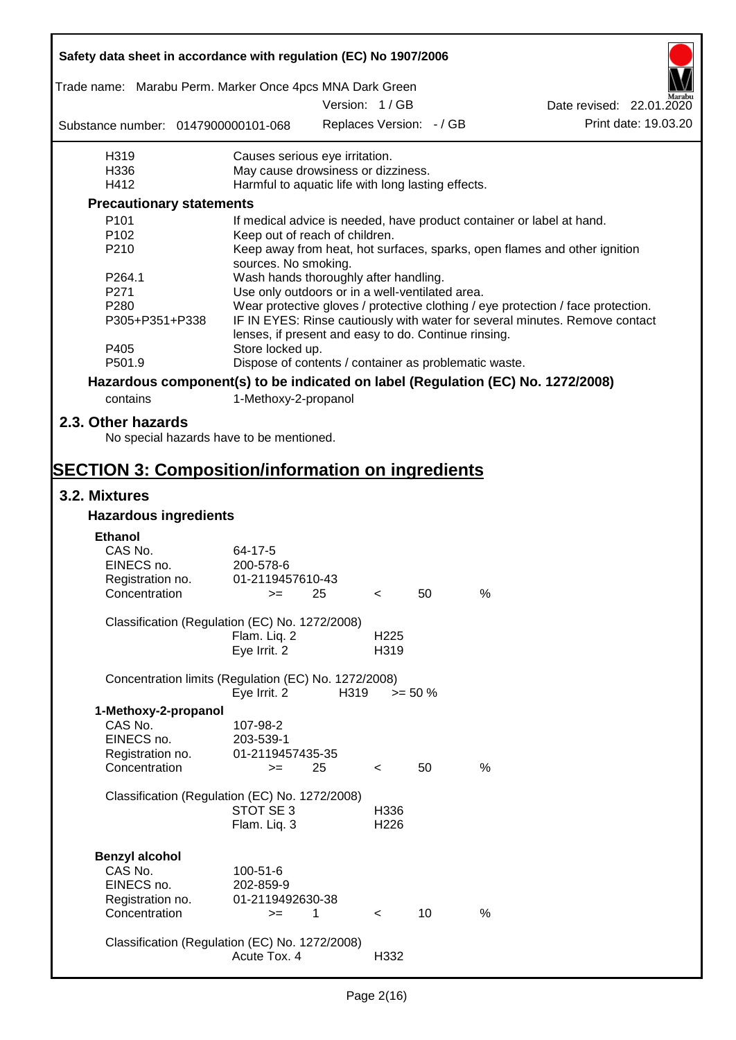| Safety data sheet in accordance with regulation (EC) No 1907/2006               |                                                       |      |                          |                          |      |                                                                                  |  |
|---------------------------------------------------------------------------------|-------------------------------------------------------|------|--------------------------|--------------------------|------|----------------------------------------------------------------------------------|--|
| Trade name: Marabu Perm. Marker Once 4pcs MNA Dark Green                        |                                                       |      |                          |                          |      |                                                                                  |  |
|                                                                                 |                                                       |      | Version: 1/GB            |                          |      | Date revised: 22.01.2020                                                         |  |
| Substance number: 0147900000101-068                                             |                                                       |      |                          | Replaces Version: - / GB |      | Print date: 19.03.20                                                             |  |
| H319                                                                            | Causes serious eye irritation.                        |      |                          |                          |      |                                                                                  |  |
| H336                                                                            | May cause drowsiness or dizziness.                    |      |                          |                          |      |                                                                                  |  |
| H412                                                                            | Harmful to aquatic life with long lasting effects.    |      |                          |                          |      |                                                                                  |  |
| <b>Precautionary statements</b>                                                 |                                                       |      |                          |                          |      |                                                                                  |  |
| P <sub>101</sub>                                                                |                                                       |      |                          |                          |      | If medical advice is needed, have product container or label at hand.            |  |
| P <sub>102</sub>                                                                | Keep out of reach of children.                        |      |                          |                          |      |                                                                                  |  |
| P210                                                                            | sources. No smoking.                                  |      |                          |                          |      | Keep away from heat, hot surfaces, sparks, open flames and other ignition        |  |
| P264.1                                                                          | Wash hands thoroughly after handling.                 |      |                          |                          |      |                                                                                  |  |
| P271                                                                            | Use only outdoors or in a well-ventilated area.       |      |                          |                          |      |                                                                                  |  |
| P280                                                                            |                                                       |      |                          |                          |      | Wear protective gloves / protective clothing / eye protection / face protection. |  |
| P305+P351+P338                                                                  | lenses, if present and easy to do. Continue rinsing.  |      |                          |                          |      | IF IN EYES: Rinse cautiously with water for several minutes. Remove contact      |  |
| P405                                                                            | Store locked up.                                      |      |                          |                          |      |                                                                                  |  |
| P501.9                                                                          | Dispose of contents / container as problematic waste. |      |                          |                          |      |                                                                                  |  |
| Hazardous component(s) to be indicated on label (Regulation (EC) No. 1272/2008) |                                                       |      |                          |                          |      |                                                                                  |  |
| contains                                                                        | 1-Methoxy-2-propanol                                  |      |                          |                          |      |                                                                                  |  |
| 2.3. Other hazards                                                              |                                                       |      |                          |                          |      |                                                                                  |  |
| No special hazards have to be mentioned.                                        |                                                       |      |                          |                          |      |                                                                                  |  |
|                                                                                 |                                                       |      |                          |                          |      |                                                                                  |  |
| <b>SECTION 3: Composition/information on ingredients</b>                        |                                                       |      |                          |                          |      |                                                                                  |  |
| 3.2. Mixtures                                                                   |                                                       |      |                          |                          |      |                                                                                  |  |
| <b>Hazardous ingredients</b>                                                    |                                                       |      |                          |                          |      |                                                                                  |  |
|                                                                                 |                                                       |      |                          |                          |      |                                                                                  |  |
| <b>Ethanol</b>                                                                  |                                                       |      |                          |                          |      |                                                                                  |  |
| CAS No.                                                                         | 64-17-5                                               |      |                          |                          |      |                                                                                  |  |
| EINECS no.                                                                      | 200-578-6                                             |      |                          |                          |      |                                                                                  |  |
| Registration no.                                                                | 01-2119457610-43                                      |      |                          |                          |      |                                                                                  |  |
| Concentration                                                                   | $>=$ 25                                               |      | $\prec$                  | 50                       | %    |                                                                                  |  |
| Classification (Regulation (EC) No. 1272/2008)                                  |                                                       |      |                          |                          |      |                                                                                  |  |
|                                                                                 | Flam. Liq. 2                                          |      | H <sub>225</sub>         |                          |      |                                                                                  |  |
|                                                                                 | Eye Irrit. 2                                          |      | H319                     |                          |      |                                                                                  |  |
| Concentration limits (Regulation (EC) No. 1272/2008)                            |                                                       |      |                          |                          |      |                                                                                  |  |
|                                                                                 | Eye Irrit. 2                                          | H319 |                          | $>= 50 \%$               |      |                                                                                  |  |
| 1-Methoxy-2-propanol                                                            |                                                       |      |                          |                          |      |                                                                                  |  |
| CAS No.                                                                         | 107-98-2                                              |      |                          |                          |      |                                                                                  |  |
| EINECS no.                                                                      | 203-539-1                                             |      |                          |                          |      |                                                                                  |  |
| Registration no.                                                                | 01-2119457435-35                                      |      |                          |                          |      |                                                                                  |  |
| Concentration                                                                   | $>=$                                                  | 25   | $\prec$                  | 50                       | $\%$ |                                                                                  |  |
|                                                                                 |                                                       |      |                          |                          |      |                                                                                  |  |
| Classification (Regulation (EC) No. 1272/2008)                                  |                                                       |      |                          |                          |      |                                                                                  |  |
|                                                                                 | STOT SE 3                                             |      | H336                     |                          |      |                                                                                  |  |
|                                                                                 | Flam. Liq. 3                                          |      | H226                     |                          |      |                                                                                  |  |
|                                                                                 |                                                       |      |                          |                          |      |                                                                                  |  |
| <b>Benzyl alcohol</b>                                                           |                                                       |      |                          |                          |      |                                                                                  |  |
| CAS No.                                                                         | 100-51-6                                              |      |                          |                          |      |                                                                                  |  |
| EINECS no.                                                                      | 202-859-9                                             |      |                          |                          |      |                                                                                  |  |
| Registration no.                                                                | 01-2119492630-38                                      |      |                          |                          |      |                                                                                  |  |
| Concentration                                                                   | $>=$                                                  | 1    | $\overline{\phantom{a}}$ | 10                       | %    |                                                                                  |  |
|                                                                                 |                                                       |      |                          |                          |      |                                                                                  |  |
| Classification (Regulation (EC) No. 1272/2008)                                  | Acute Tox. 4                                          |      | H332                     |                          |      |                                                                                  |  |
|                                                                                 |                                                       |      |                          |                          |      |                                                                                  |  |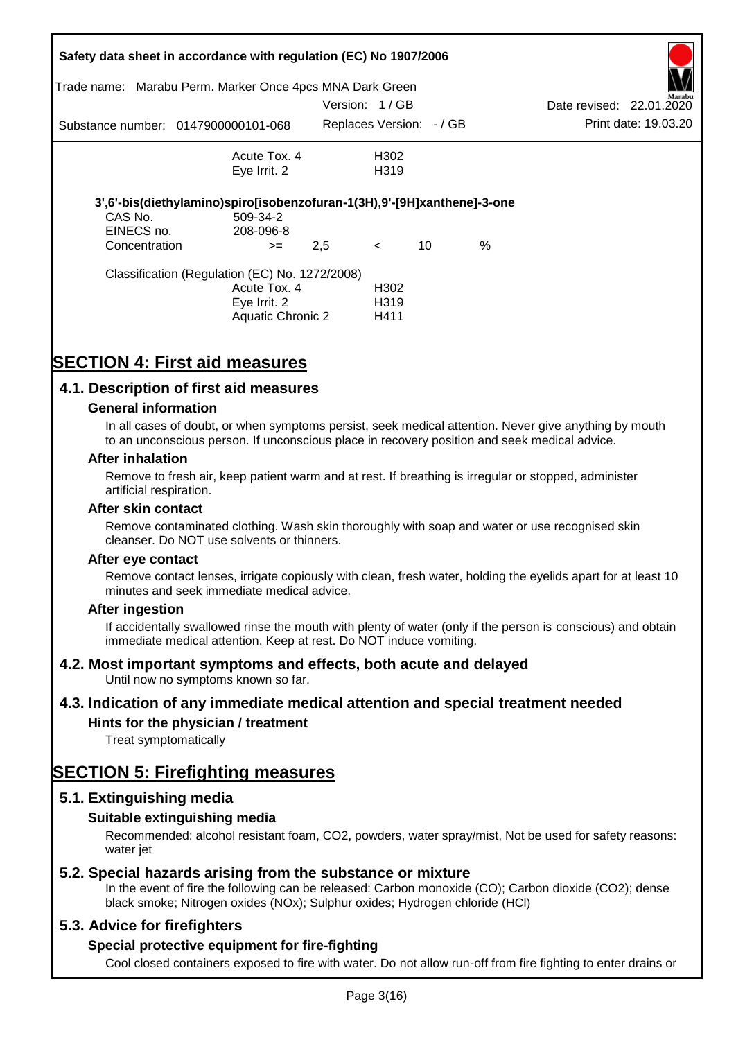|                                                          | Safety data sheet in accordance with regulation (EC) No 1907/2006       |               |                          |    |      |                          |                      |
|----------------------------------------------------------|-------------------------------------------------------------------------|---------------|--------------------------|----|------|--------------------------|----------------------|
| Trade name: Marabu Perm. Marker Once 4pcs MNA Dark Green |                                                                         |               |                          |    |      |                          |                      |
|                                                          |                                                                         | Version: 1/GB |                          |    |      | Date revised: 22.01.2020 | Marabu               |
|                                                          | Substance number: 0147900000101-068                                     |               | Replaces Version: - / GB |    |      |                          | Print date: 19.03.20 |
|                                                          | Acute Tox. 4                                                            |               | H302                     |    |      |                          |                      |
|                                                          | Eye Irrit. 2                                                            |               | H <sub>3</sub> 19        |    |      |                          |                      |
|                                                          | 3',6'-bis(diethylamino)spiro[isobenzofuran-1(3H),9'-[9H]xanthene]-3-one |               |                          |    |      |                          |                      |
| CAS No.                                                  | 509-34-2                                                                |               |                          |    |      |                          |                      |
| EINECS no.                                               | 208-096-8                                                               |               |                          |    |      |                          |                      |
| Concentration                                            | $>=$                                                                    | 2,5           | $\lt$                    | 10 | $\%$ |                          |                      |
|                                                          | Classification (Regulation (EC) No. 1272/2008)                          |               |                          |    |      |                          |                      |
|                                                          | Acute Tox. 4                                                            |               | H <sub>302</sub>         |    |      |                          |                      |
|                                                          | Eye Irrit. 2                                                            |               | H <sub>3</sub> 19        |    |      |                          |                      |
|                                                          | Aquatic Chronic 2                                                       |               | H411                     |    |      |                          |                      |

# **SECTION 4: First aid measures**

# **4.1. Description of first aid measures**

### **General information**

In all cases of doubt, or when symptoms persist, seek medical attention. Never give anything by mouth to an unconscious person. If unconscious place in recovery position and seek medical advice.

#### **After inhalation**

Remove to fresh air, keep patient warm and at rest. If breathing is irregular or stopped, administer artificial respiration.

#### **After skin contact**

Remove contaminated clothing. Wash skin thoroughly with soap and water or use recognised skin cleanser. Do NOT use solvents or thinners.

#### **After eye contact**

Remove contact lenses, irrigate copiously with clean, fresh water, holding the eyelids apart for at least 10 minutes and seek immediate medical advice.

#### **After ingestion**

If accidentally swallowed rinse the mouth with plenty of water (only if the person is conscious) and obtain immediate medical attention. Keep at rest. Do NOT induce vomiting.

## **4.2. Most important symptoms and effects, both acute and delayed**

Until now no symptoms known so far.

## **4.3. Indication of any immediate medical attention and special treatment needed**

## **Hints for the physician / treatment**

Treat symptomatically

# **SECTION 5: Firefighting measures**

## **5.1. Extinguishing media**

## **Suitable extinguishing media**

Recommended: alcohol resistant foam, CO2, powders, water spray/mist, Not be used for safety reasons: water *iet* 

## **5.2. Special hazards arising from the substance or mixture**

In the event of fire the following can be released: Carbon monoxide (CO); Carbon dioxide (CO2); dense black smoke; Nitrogen oxides (NOx); Sulphur oxides; Hydrogen chloride (HCl)

## **5.3. Advice for firefighters**

## **Special protective equipment for fire-fighting**

Cool closed containers exposed to fire with water. Do not allow run-off from fire fighting to enter drains or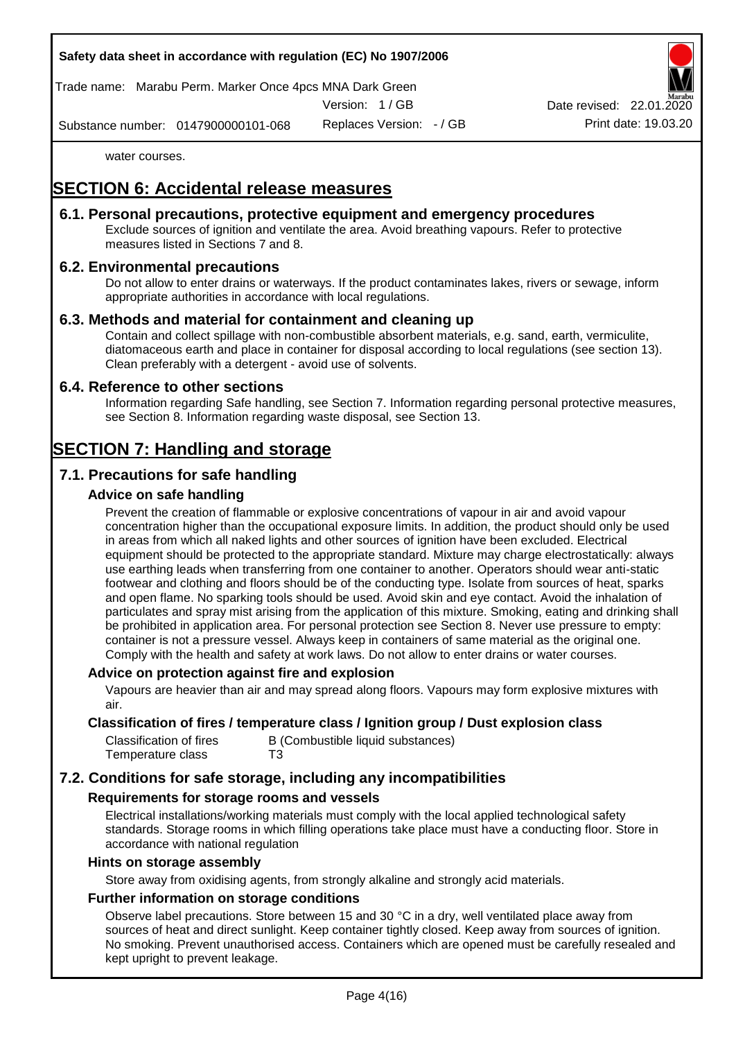Trade name: Marabu Perm. Marker Once 4pcs MNA Dark Green

Version: 1 / GB

Replaces Version: - / GB Print date: 19.03.20 Date revised: 22.01.

Substance number: 0147900000101-068

water courses.

# **SECTION 6: Accidental release measures**

## **6.1. Personal precautions, protective equipment and emergency procedures**

Exclude sources of ignition and ventilate the area. Avoid breathing vapours. Refer to protective measures listed in Sections 7 and 8.

# **6.2. Environmental precautions**

Do not allow to enter drains or waterways. If the product contaminates lakes, rivers or sewage, inform appropriate authorities in accordance with local regulations.

# **6.3. Methods and material for containment and cleaning up**

Contain and collect spillage with non-combustible absorbent materials, e.g. sand, earth, vermiculite, diatomaceous earth and place in container for disposal according to local regulations (see section 13). Clean preferably with a detergent - avoid use of solvents.

## **6.4. Reference to other sections**

Information regarding Safe handling, see Section 7. Information regarding personal protective measures, see Section 8. Information regarding waste disposal, see Section 13.

# **SECTION 7: Handling and storage**

# **7.1. Precautions for safe handling**

# **Advice on safe handling**

Prevent the creation of flammable or explosive concentrations of vapour in air and avoid vapour concentration higher than the occupational exposure limits. In addition, the product should only be used in areas from which all naked lights and other sources of ignition have been excluded. Electrical equipment should be protected to the appropriate standard. Mixture may charge electrostatically: always use earthing leads when transferring from one container to another. Operators should wear anti-static footwear and clothing and floors should be of the conducting type. Isolate from sources of heat, sparks and open flame. No sparking tools should be used. Avoid skin and eye contact. Avoid the inhalation of particulates and spray mist arising from the application of this mixture. Smoking, eating and drinking shall be prohibited in application area. For personal protection see Section 8. Never use pressure to empty: container is not a pressure vessel. Always keep in containers of same material as the original one. Comply with the health and safety at work laws. Do not allow to enter drains or water courses.

## **Advice on protection against fire and explosion**

Vapours are heavier than air and may spread along floors. Vapours may form explosive mixtures with air.

### **Classification of fires / temperature class / Ignition group / Dust explosion class**

| Classification of fires | B (Combustible liquid substances) |
|-------------------------|-----------------------------------|
| Temperature class       | T3                                |

# **7.2. Conditions for safe storage, including any incompatibilities**

## **Requirements for storage rooms and vessels**

Electrical installations/working materials must comply with the local applied technological safety standards. Storage rooms in which filling operations take place must have a conducting floor. Store in accordance with national regulation

#### **Hints on storage assembly**

Store away from oxidising agents, from strongly alkaline and strongly acid materials.

## **Further information on storage conditions**

Observe label precautions. Store between 15 and 30 °C in a dry, well ventilated place away from sources of heat and direct sunlight. Keep container tightly closed. Keep away from sources of ignition. No smoking. Prevent unauthorised access. Containers which are opened must be carefully resealed and kept upright to prevent leakage.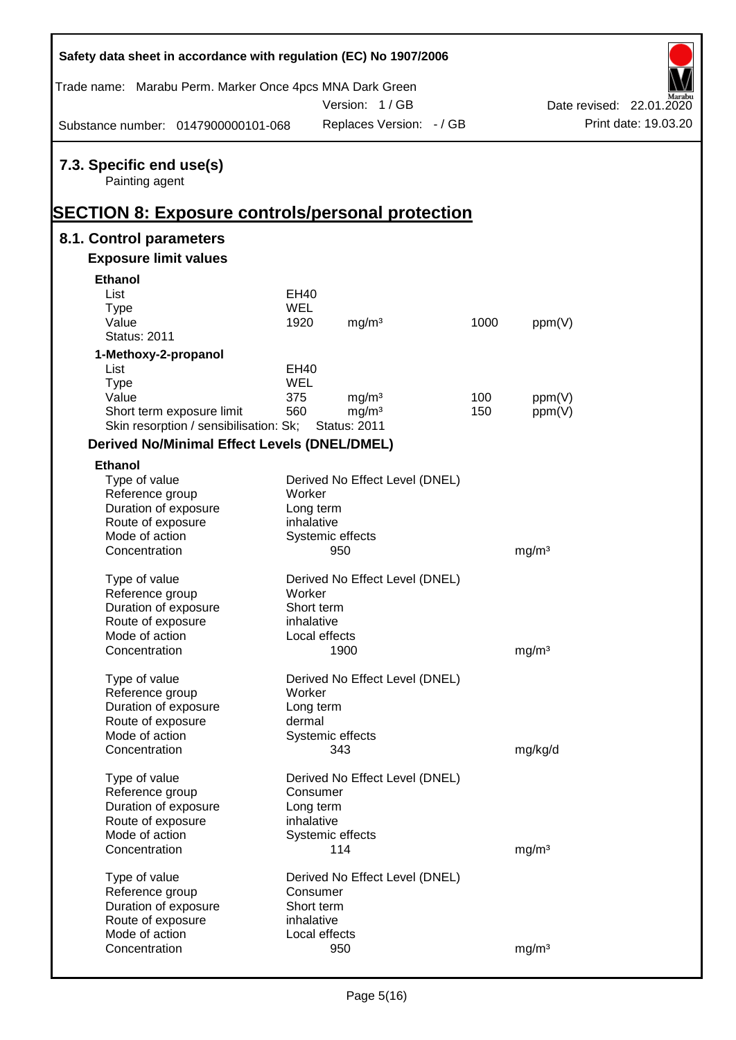| Safety data sheet in accordance with regulation (EC) No 1907/2006                                     |                          |                                |      |                   |                          |
|-------------------------------------------------------------------------------------------------------|--------------------------|--------------------------------|------|-------------------|--------------------------|
| Trade name: Marabu Perm. Marker Once 4pcs MNA Dark Green                                              |                          | Version: 1/GB                  |      |                   | Date revised: 22.01.2020 |
| Substance number: 0147900000101-068                                                                   |                          | Replaces Version: - / GB       |      |                   | Print date: 19.03.20     |
| 7.3. Specific end use(s)<br>Painting agent<br><b>SECTION 8: Exposure controls/personal protection</b> |                          |                                |      |                   |                          |
| 8.1. Control parameters                                                                               |                          |                                |      |                   |                          |
| <b>Exposure limit values</b>                                                                          |                          |                                |      |                   |                          |
| <b>Ethanol</b>                                                                                        |                          |                                |      |                   |                          |
| List                                                                                                  | EH40                     |                                |      |                   |                          |
| <b>Type</b>                                                                                           | <b>WEL</b>               |                                |      |                   |                          |
| Value                                                                                                 | 1920                     | mg/m <sup>3</sup>              | 1000 | ppm(V)            |                          |
| <b>Status: 2011</b>                                                                                   |                          |                                |      |                   |                          |
| 1-Methoxy-2-propanol                                                                                  |                          |                                |      |                   |                          |
| List                                                                                                  | EH40                     |                                |      |                   |                          |
| <b>Type</b>                                                                                           | WEL                      |                                |      |                   |                          |
| Value                                                                                                 | 375                      | mg/m <sup>3</sup>              | 100  | ppm(V)            |                          |
| Short term exposure limit                                                                             | 560                      | mg/m <sup>3</sup>              | 150  | ppm(V)            |                          |
| Skin resorption / sensibilisation: Sk;                                                                |                          | <b>Status: 2011</b>            |      |                   |                          |
| <b>Derived No/Minimal Effect Levels (DNEL/DMEL)</b>                                                   |                          |                                |      |                   |                          |
| <b>Ethanol</b>                                                                                        |                          |                                |      |                   |                          |
| Type of value                                                                                         |                          | Derived No Effect Level (DNEL) |      |                   |                          |
| Reference group                                                                                       | Worker                   |                                |      |                   |                          |
| Duration of exposure                                                                                  | Long term                |                                |      |                   |                          |
| Route of exposure                                                                                     | inhalative               |                                |      |                   |                          |
| Mode of action                                                                                        |                          | Systemic effects               |      |                   |                          |
| Concentration                                                                                         |                          | 950                            |      | mg/m <sup>3</sup> |                          |
| Type of value                                                                                         |                          | Derived No Effect Level (DNEL) |      |                   |                          |
| Reference group                                                                                       | Worker                   |                                |      |                   |                          |
| Duration of exposure                                                                                  | Short term               |                                |      |                   |                          |
| Route of exposure                                                                                     | inhalative               |                                |      |                   |                          |
| Mode of action                                                                                        |                          | Local effects                  |      |                   |                          |
| Concentration                                                                                         |                          | 1900                           |      | mg/m <sup>3</sup> |                          |
|                                                                                                       |                          |                                |      |                   |                          |
| Type of value                                                                                         |                          | Derived No Effect Level (DNEL) |      |                   |                          |
| Reference group                                                                                       | Worker                   |                                |      |                   |                          |
| Duration of exposure                                                                                  | Long term                |                                |      |                   |                          |
| Route of exposure                                                                                     | dermal                   |                                |      |                   |                          |
| Mode of action                                                                                        |                          | Systemic effects               |      |                   |                          |
| Concentration                                                                                         |                          | 343                            |      | mg/kg/d           |                          |
| Type of value                                                                                         |                          | Derived No Effect Level (DNEL) |      |                   |                          |
| Reference group                                                                                       | Consumer                 |                                |      |                   |                          |
| Duration of exposure                                                                                  | Long term                |                                |      |                   |                          |
| Route of exposure                                                                                     | inhalative               |                                |      |                   |                          |
| Mode of action                                                                                        |                          | Systemic effects               |      |                   |                          |
| Concentration                                                                                         |                          | 114                            |      | mg/m <sup>3</sup> |                          |
|                                                                                                       |                          |                                |      |                   |                          |
| Type of value                                                                                         |                          | Derived No Effect Level (DNEL) |      |                   |                          |
| Reference group                                                                                       | Consumer                 |                                |      |                   |                          |
| Duration of exposure                                                                                  | Short term<br>inhalative |                                |      |                   |                          |
| Route of exposure<br>Mode of action                                                                   |                          | Local effects                  |      |                   |                          |
| Concentration                                                                                         |                          | 950                            |      | mg/m <sup>3</sup> |                          |
|                                                                                                       |                          |                                |      |                   |                          |

Ī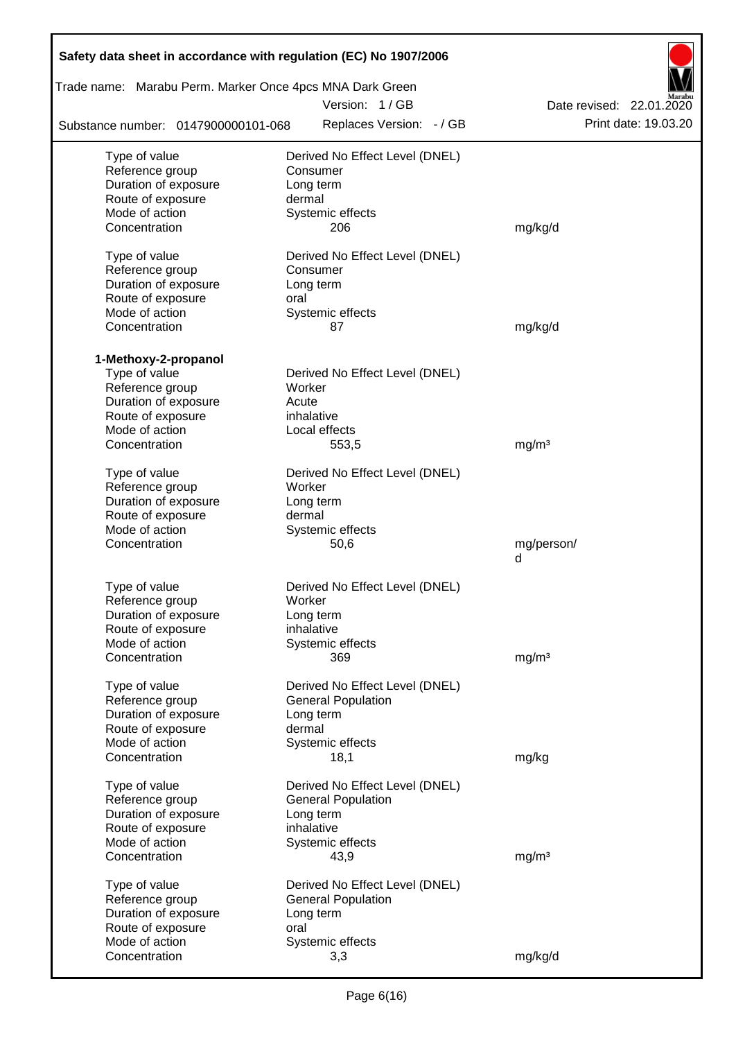| Safety data sheet in accordance with regulation (EC) No 1907/2006         |                                |                          |  |  |  |  |  |  |  |
|---------------------------------------------------------------------------|--------------------------------|--------------------------|--|--|--|--|--|--|--|
| Trade name: Marabu Perm. Marker Once 4pcs MNA Dark Green<br>Version: 1/GB |                                |                          |  |  |  |  |  |  |  |
|                                                                           |                                | Date revised: 22.01.2020 |  |  |  |  |  |  |  |
| Substance number: 0147900000101-068                                       | Replaces Version: - / GB       | Print date: 19.03.20     |  |  |  |  |  |  |  |
| Type of value                                                             | Derived No Effect Level (DNEL) |                          |  |  |  |  |  |  |  |
| Reference group                                                           | Consumer                       |                          |  |  |  |  |  |  |  |
| Duration of exposure                                                      | Long term                      |                          |  |  |  |  |  |  |  |
| Route of exposure                                                         | dermal                         |                          |  |  |  |  |  |  |  |
| Mode of action                                                            | Systemic effects               |                          |  |  |  |  |  |  |  |
| Concentration                                                             | 206                            | mg/kg/d                  |  |  |  |  |  |  |  |
| Type of value                                                             | Derived No Effect Level (DNEL) |                          |  |  |  |  |  |  |  |
| Reference group                                                           | Consumer                       |                          |  |  |  |  |  |  |  |
| Duration of exposure                                                      | Long term                      |                          |  |  |  |  |  |  |  |
| Route of exposure                                                         | oral                           |                          |  |  |  |  |  |  |  |
| Mode of action                                                            | Systemic effects               |                          |  |  |  |  |  |  |  |
| Concentration                                                             | 87                             | mg/kg/d                  |  |  |  |  |  |  |  |
|                                                                           |                                |                          |  |  |  |  |  |  |  |
| 1-Methoxy-2-propanol                                                      |                                |                          |  |  |  |  |  |  |  |
| Type of value                                                             | Derived No Effect Level (DNEL) |                          |  |  |  |  |  |  |  |
| Reference group                                                           | Worker                         |                          |  |  |  |  |  |  |  |
| Duration of exposure                                                      | Acute                          |                          |  |  |  |  |  |  |  |
| Route of exposure<br>Mode of action                                       | inhalative<br>Local effects    |                          |  |  |  |  |  |  |  |
| Concentration                                                             | 553,5                          | mg/m <sup>3</sup>        |  |  |  |  |  |  |  |
|                                                                           |                                |                          |  |  |  |  |  |  |  |
| Type of value                                                             | Derived No Effect Level (DNEL) |                          |  |  |  |  |  |  |  |
| Reference group                                                           | Worker                         |                          |  |  |  |  |  |  |  |
| Duration of exposure                                                      | Long term                      |                          |  |  |  |  |  |  |  |
| Route of exposure                                                         | dermal                         |                          |  |  |  |  |  |  |  |
| Mode of action                                                            | Systemic effects               |                          |  |  |  |  |  |  |  |
| Concentration                                                             | 50,6                           | mg/person/               |  |  |  |  |  |  |  |
|                                                                           |                                | d                        |  |  |  |  |  |  |  |
| Type of value                                                             | Derived No Effect Level (DNEL) |                          |  |  |  |  |  |  |  |
| Reference group                                                           | Worker                         |                          |  |  |  |  |  |  |  |
| Duration of exposure                                                      | Long term                      |                          |  |  |  |  |  |  |  |
| Route of exposure                                                         | inhalative                     |                          |  |  |  |  |  |  |  |
| Mode of action                                                            | Systemic effects               |                          |  |  |  |  |  |  |  |
| Concentration                                                             | 369                            | mg/m <sup>3</sup>        |  |  |  |  |  |  |  |
|                                                                           |                                |                          |  |  |  |  |  |  |  |
| Type of value                                                             | Derived No Effect Level (DNEL) |                          |  |  |  |  |  |  |  |
| Reference group                                                           | <b>General Population</b>      |                          |  |  |  |  |  |  |  |
| Duration of exposure<br>Route of exposure                                 | Long term<br>dermal            |                          |  |  |  |  |  |  |  |
| Mode of action                                                            | Systemic effects               |                          |  |  |  |  |  |  |  |
| Concentration                                                             | 18,1                           | mg/kg                    |  |  |  |  |  |  |  |
|                                                                           |                                |                          |  |  |  |  |  |  |  |
| Type of value                                                             | Derived No Effect Level (DNEL) |                          |  |  |  |  |  |  |  |
| Reference group                                                           | <b>General Population</b>      |                          |  |  |  |  |  |  |  |
| Duration of exposure                                                      | Long term                      |                          |  |  |  |  |  |  |  |
| Route of exposure                                                         | inhalative                     |                          |  |  |  |  |  |  |  |
| Mode of action                                                            | Systemic effects               |                          |  |  |  |  |  |  |  |
| Concentration                                                             | 43,9                           | mg/m <sup>3</sup>        |  |  |  |  |  |  |  |
| Type of value                                                             | Derived No Effect Level (DNEL) |                          |  |  |  |  |  |  |  |
| Reference group                                                           | <b>General Population</b>      |                          |  |  |  |  |  |  |  |
| Duration of exposure                                                      | Long term                      |                          |  |  |  |  |  |  |  |
| Route of exposure                                                         | oral                           |                          |  |  |  |  |  |  |  |
| Mode of action                                                            | Systemic effects               |                          |  |  |  |  |  |  |  |
| Concentration                                                             | 3,3                            | mg/kg/d                  |  |  |  |  |  |  |  |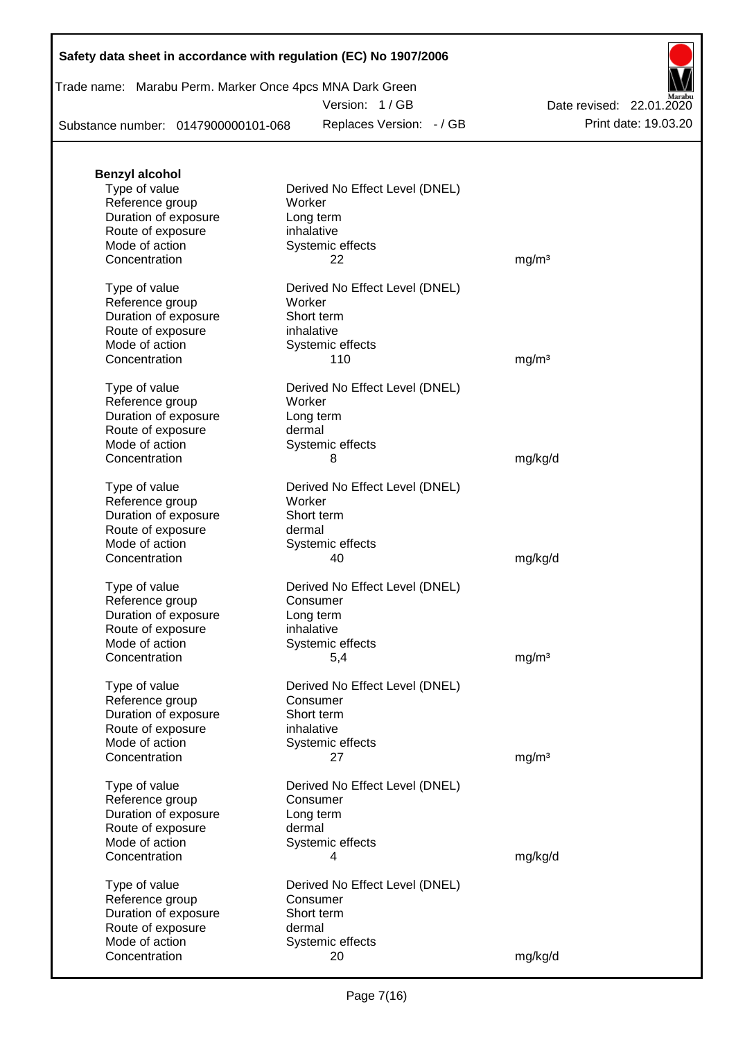| Trade name: Marabu Perm. Marker Once 4pcs MNA Dark Green |  |
|----------------------------------------------------------|--|
|----------------------------------------------------------|--|

Version: 1 / GB

Substance number: 0147900000101-068

Replaces Version: - / GB Print date: 19.03.20 Date revised: 22.01.2020

| <b>Benzyl alcohol</b> |                                |                   |
|-----------------------|--------------------------------|-------------------|
| Type of value         | Derived No Effect Level (DNEL) |                   |
| Reference group       | Worker                         |                   |
| Duration of exposure  | Long term                      |                   |
| Route of exposure     | inhalative                     |                   |
| Mode of action        | Systemic effects               |                   |
|                       |                                |                   |
| Concentration         | 22                             | mg/m <sup>3</sup> |
| Type of value         | Derived No Effect Level (DNEL) |                   |
| Reference group       | Worker                         |                   |
| Duration of exposure  | Short term                     |                   |
| Route of exposure     | inhalative                     |                   |
| Mode of action        |                                |                   |
|                       | Systemic effects               |                   |
| Concentration         | 110                            | mg/m <sup>3</sup> |
| Type of value         | Derived No Effect Level (DNEL) |                   |
| Reference group       | Worker                         |                   |
| Duration of exposure  | Long term                      |                   |
| Route of exposure     | dermal                         |                   |
| Mode of action        |                                |                   |
|                       | Systemic effects               |                   |
| Concentration         | 8                              | mg/kg/d           |
| Type of value         | Derived No Effect Level (DNEL) |                   |
| Reference group       | Worker                         |                   |
| Duration of exposure  | Short term                     |                   |
| Route of exposure     | dermal                         |                   |
| Mode of action        | Systemic effects               |                   |
| Concentration         | 40                             |                   |
|                       |                                | mg/kg/d           |
| Type of value         | Derived No Effect Level (DNEL) |                   |
| Reference group       | Consumer                       |                   |
| Duration of exposure  | Long term                      |                   |
| Route of exposure     | inhalative                     |                   |
| Mode of action        | Systemic effects               |                   |
|                       |                                |                   |
| Concentration         | 5,4                            | mg/m <sup>3</sup> |
| Type of value         | Derived No Effect Level (DNEL) |                   |
| Reference group       | Consumer                       |                   |
| Duration of exposure  | Short term                     |                   |
| Route of exposure     | inhalative                     |                   |
| Mode of action        | Systemic effects               |                   |
| Concentration         | 27                             |                   |
|                       |                                | mg/m <sup>3</sup> |
| Type of value         | Derived No Effect Level (DNEL) |                   |
| Reference group       | Consumer                       |                   |
| Duration of exposure  | Long term                      |                   |
| Route of exposure     | dermal                         |                   |
| Mode of action        | Systemic effects               |                   |
| Concentration         | 4                              | mg/kg/d           |
|                       |                                |                   |
| Type of value         | Derived No Effect Level (DNEL) |                   |
| Reference group       | Consumer                       |                   |
| Duration of exposure  | Short term                     |                   |
| Route of exposure     | dermal                         |                   |
| Mode of action        | Systemic effects               |                   |
| Concentration         |                                |                   |
|                       | 20                             | mg/kg/d           |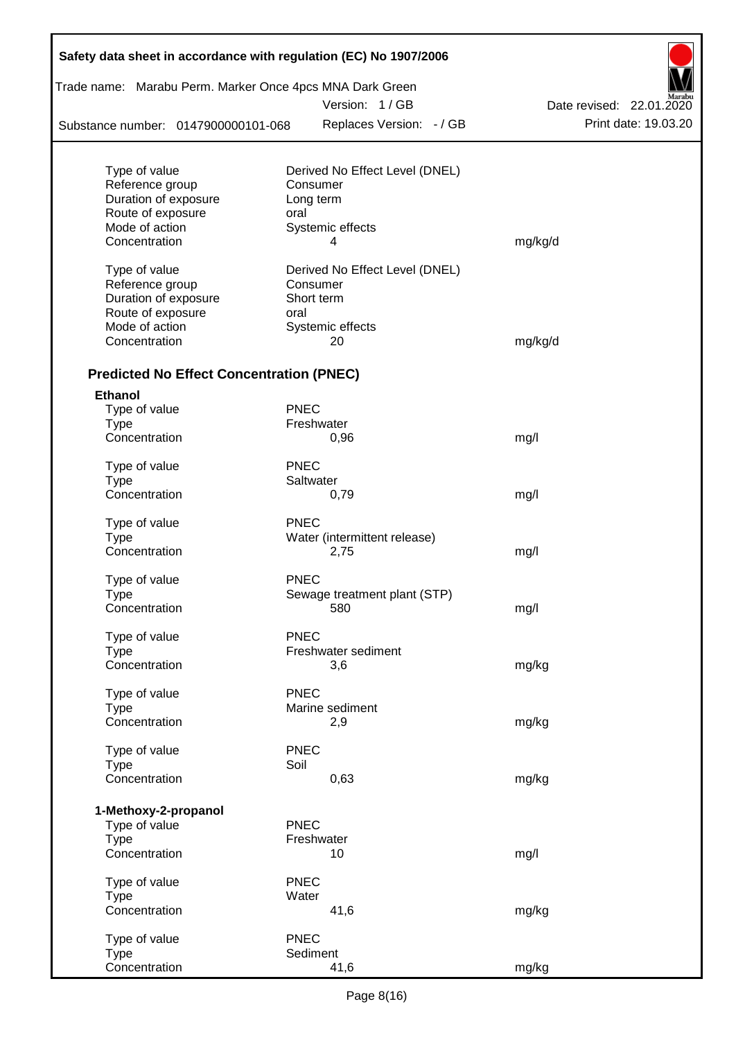| Trade name: Marabu Perm. Marker Once 4pcs MNA Dark Green |             |                                |                          |
|----------------------------------------------------------|-------------|--------------------------------|--------------------------|
|                                                          |             | Version: 1 / GB                | Date revised: 22.01.2020 |
| Substance number: 0147900000101-068                      |             | Replaces Version: - / GB       | Print date: 19.03.20     |
| Type of value                                            |             | Derived No Effect Level (DNEL) |                          |
| Reference group                                          |             | Consumer                       |                          |
| Duration of exposure                                     |             | Long term                      |                          |
| Route of exposure                                        | oral        |                                |                          |
| Mode of action                                           |             | Systemic effects               |                          |
| Concentration                                            |             | 4                              | mg/kg/d                  |
| Type of value                                            |             | Derived No Effect Level (DNEL) |                          |
| Reference group                                          |             | Consumer                       |                          |
| Duration of exposure                                     |             | Short term                     |                          |
| Route of exposure                                        | oral        |                                |                          |
| Mode of action                                           |             | Systemic effects               |                          |
| Concentration                                            |             | 20                             | mg/kg/d                  |
| <b>Predicted No Effect Concentration (PNEC)</b>          |             |                                |                          |
| <b>Ethanol</b>                                           |             |                                |                          |
| Type of value                                            | <b>PNEC</b> |                                |                          |
| <b>Type</b>                                              |             | Freshwater                     |                          |
| Concentration                                            |             | 0,96                           | mg/l                     |
| Type of value                                            | <b>PNEC</b> |                                |                          |
| <b>Type</b>                                              |             | Saltwater                      |                          |
| Concentration                                            |             | 0,79                           | mg/l                     |
| Type of value                                            | <b>PNEC</b> |                                |                          |
| <b>Type</b>                                              |             | Water (intermittent release)   |                          |
| Concentration                                            |             | 2,75                           | mg/l                     |
| Type of value                                            | <b>PNEC</b> |                                |                          |
| Type                                                     |             | Sewage treatment plant (STP)   |                          |
| Concentration                                            |             | 580                            | mg/l                     |
| Type of value                                            | <b>PNEC</b> |                                |                          |
| <b>Type</b>                                              |             | Freshwater sediment            |                          |
| Concentration                                            |             | 3,6                            | mg/kg                    |
| Type of value                                            | <b>PNEC</b> |                                |                          |
| <b>Type</b>                                              |             | Marine sediment                |                          |
| Concentration                                            |             | 2,9                            | mg/kg                    |
| Type of value                                            | <b>PNEC</b> |                                |                          |
| <b>Type</b>                                              | Soil        |                                |                          |
| Concentration                                            |             | 0,63                           | mg/kg                    |
| 1-Methoxy-2-propanol                                     |             |                                |                          |
| Type of value                                            | <b>PNEC</b> |                                |                          |
| <b>Type</b>                                              |             | Freshwater                     |                          |
| Concentration                                            |             | 10                             | mg/l                     |
| Type of value                                            | <b>PNEC</b> |                                |                          |
| <b>Type</b>                                              | Water       |                                |                          |
| Concentration                                            |             | 41,6                           | mg/kg                    |
| Type of value                                            | <b>PNEC</b> |                                |                          |
| <b>Type</b>                                              |             | Sediment                       |                          |
| Concentration                                            |             | 41,6                           | mg/kg                    |

T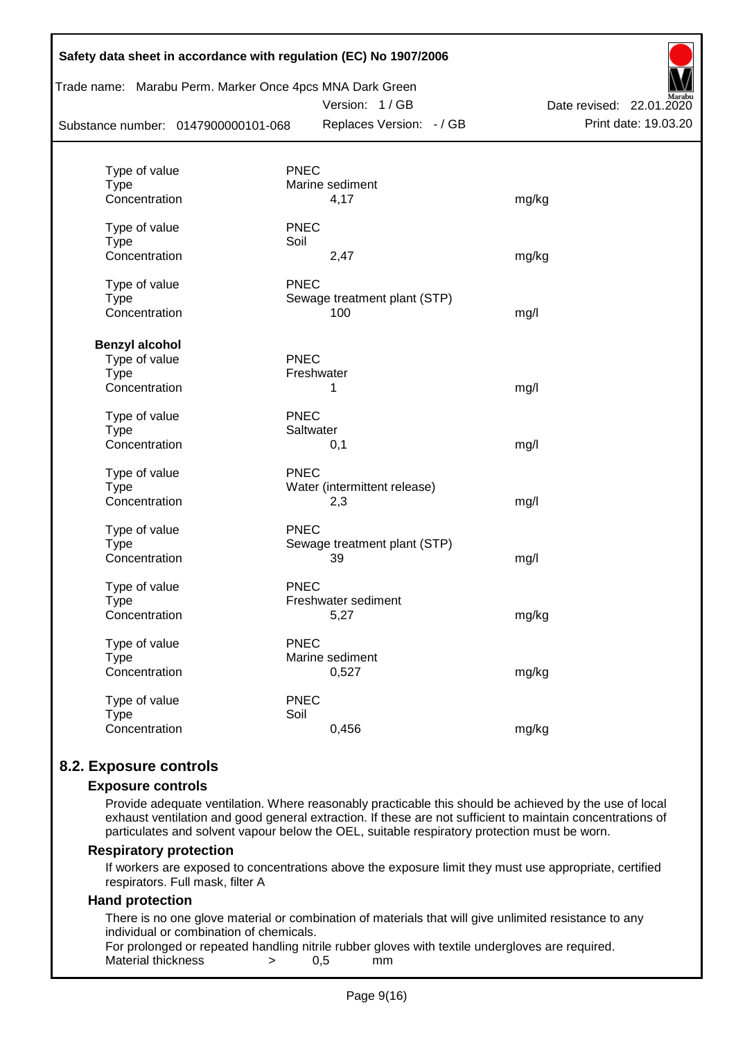| Substance number: 0147900000101-068 |             | Trade name: Marabu Perm. Marker Once 4pcs MNA Dark Green<br>Version: 1/GB<br>Replaces Version: - / GB | Date revised: 22.01.2020<br>Print date: 19.03.20 |
|-------------------------------------|-------------|-------------------------------------------------------------------------------------------------------|--------------------------------------------------|
| Type of value                       | <b>PNEC</b> |                                                                                                       |                                                  |
| <b>Type</b>                         |             | Marine sediment                                                                                       |                                                  |
| Concentration                       |             | 4,17                                                                                                  | mg/kg                                            |
| Type of value                       | <b>PNEC</b> |                                                                                                       |                                                  |
| <b>Type</b>                         | Soil        |                                                                                                       |                                                  |
| Concentration                       |             | 2,47                                                                                                  | mg/kg                                            |
| Type of value                       | <b>PNEC</b> |                                                                                                       |                                                  |
| <b>Type</b>                         |             | Sewage treatment plant (STP)                                                                          |                                                  |
| Concentration                       |             | 100                                                                                                   | mg/l                                             |
| <b>Benzyl alcohol</b>               |             |                                                                                                       |                                                  |
| Type of value                       | <b>PNEC</b> |                                                                                                       |                                                  |
| <b>Type</b>                         | Freshwater  |                                                                                                       |                                                  |
| Concentration                       |             | 1                                                                                                     | mg/l                                             |
| Type of value                       | <b>PNEC</b> |                                                                                                       |                                                  |
| <b>Type</b>                         | Saltwater   |                                                                                                       |                                                  |
| Concentration                       |             | 0,1                                                                                                   | mg/l                                             |
| Type of value                       | <b>PNEC</b> |                                                                                                       |                                                  |
| <b>Type</b>                         |             | Water (intermittent release)                                                                          |                                                  |
| Concentration                       |             | 2,3                                                                                                   | mg/l                                             |
| Type of value                       | <b>PNEC</b> |                                                                                                       |                                                  |
| <b>Type</b>                         |             | Sewage treatment plant (STP)                                                                          |                                                  |
| Concentration                       |             | 39                                                                                                    | mg/l                                             |
| Type of value                       | <b>PNEC</b> |                                                                                                       |                                                  |
| Type                                |             | Freshwater sediment                                                                                   |                                                  |
| Concentration                       |             | 5,27                                                                                                  | mg/kg                                            |
| Type of value                       | <b>PNEC</b> |                                                                                                       |                                                  |
| <b>Type</b>                         |             | Marine sediment                                                                                       |                                                  |
| Concentration                       |             | 0,527                                                                                                 | mg/kg                                            |
| Type of value                       | <b>PNEC</b> |                                                                                                       |                                                  |
| <b>Type</b>                         | Soil        |                                                                                                       |                                                  |
| Concentration                       |             | 0,456                                                                                                 | mg/kg                                            |

# **8.2. Exposure controls**

#### **Exposure controls**

Provide adequate ventilation. Where reasonably practicable this should be achieved by the use of local exhaust ventilation and good general extraction. If these are not sufficient to maintain concentrations of particulates and solvent vapour below the OEL, suitable respiratory protection must be worn.

#### **Respiratory protection**

If workers are exposed to concentrations above the exposure limit they must use appropriate, certified respirators. Full mask, filter A

#### **Hand protection**

There is no one glove material or combination of materials that will give unlimited resistance to any individual or combination of chemicals.

For prolonged or repeated handling nitrile rubber gloves with textile undergloves are required. Material thickness  $\rightarrow$  0.5 mm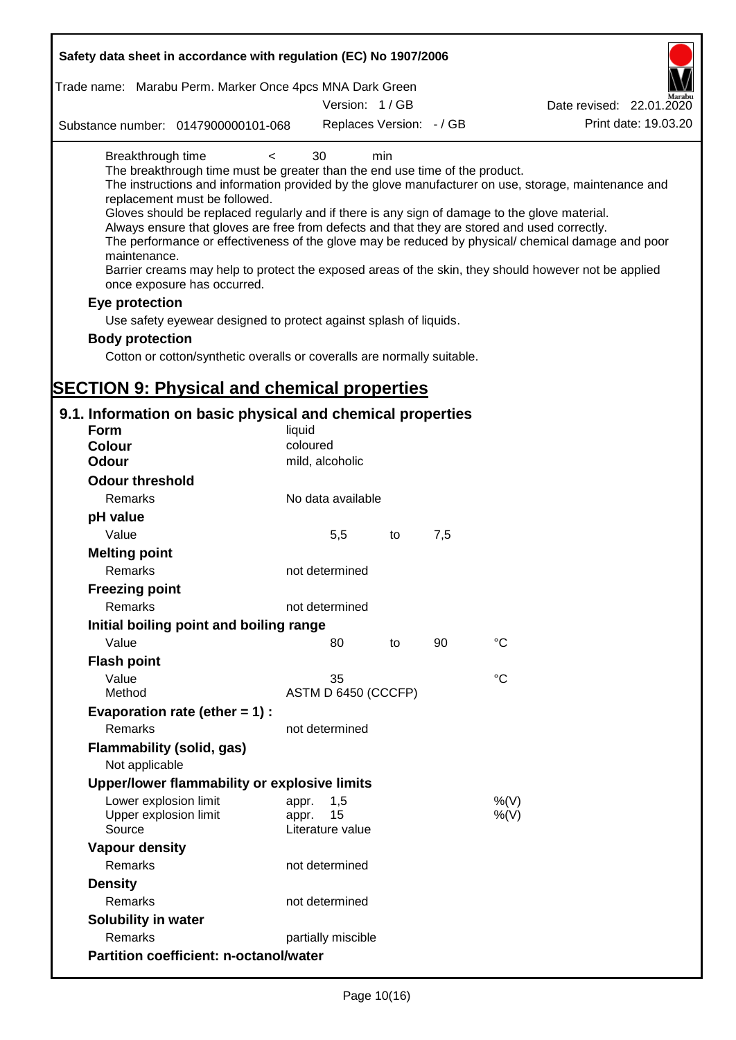| Safety data sheet in accordance with regulation (EC) No 1907/2006                                                                                                                                                                                                                                                                                                                                                                                                                                    |                                                 |    |     |                                                                                                                                                                                                            |
|------------------------------------------------------------------------------------------------------------------------------------------------------------------------------------------------------------------------------------------------------------------------------------------------------------------------------------------------------------------------------------------------------------------------------------------------------------------------------------------------------|-------------------------------------------------|----|-----|------------------------------------------------------------------------------------------------------------------------------------------------------------------------------------------------------------|
| Trade name: Marabu Perm. Marker Once 4pcs MNA Dark Green                                                                                                                                                                                                                                                                                                                                                                                                                                             |                                                 |    |     |                                                                                                                                                                                                            |
|                                                                                                                                                                                                                                                                                                                                                                                                                                                                                                      | Version: 1 / GB                                 |    |     | Date revised: 22.01.2020                                                                                                                                                                                   |
| Substance number: 0147900000101-068                                                                                                                                                                                                                                                                                                                                                                                                                                                                  | Replaces Version: - / GB                        |    |     | Print date: 19.03.20                                                                                                                                                                                       |
| Breakthrough time<br>$\,<\,$<br>The breakthrough time must be greater than the end use time of the product.<br>replacement must be followed.<br>Gloves should be replaced regularly and if there is any sign of damage to the glove material.<br>Always ensure that gloves are free from defects and that they are stored and used correctly.<br>maintenance.<br>Barrier creams may help to protect the exposed areas of the skin, they should however not be applied<br>once exposure has occurred. | 30<br>min                                       |    |     | The instructions and information provided by the glove manufacturer on use, storage, maintenance and<br>The performance or effectiveness of the glove may be reduced by physical/ chemical damage and poor |
| Eye protection                                                                                                                                                                                                                                                                                                                                                                                                                                                                                       |                                                 |    |     |                                                                                                                                                                                                            |
| Use safety eyewear designed to protect against splash of liquids.                                                                                                                                                                                                                                                                                                                                                                                                                                    |                                                 |    |     |                                                                                                                                                                                                            |
| <b>Body protection</b>                                                                                                                                                                                                                                                                                                                                                                                                                                                                               |                                                 |    |     |                                                                                                                                                                                                            |
| Cotton or cotton/synthetic overalls or coveralls are normally suitable.                                                                                                                                                                                                                                                                                                                                                                                                                              |                                                 |    |     |                                                                                                                                                                                                            |
|                                                                                                                                                                                                                                                                                                                                                                                                                                                                                                      |                                                 |    |     |                                                                                                                                                                                                            |
| <b>SECTION 9: Physical and chemical properties</b>                                                                                                                                                                                                                                                                                                                                                                                                                                                   |                                                 |    |     |                                                                                                                                                                                                            |
| 9.1. Information on basic physical and chemical properties                                                                                                                                                                                                                                                                                                                                                                                                                                           |                                                 |    |     |                                                                                                                                                                                                            |
| <b>Form</b>                                                                                                                                                                                                                                                                                                                                                                                                                                                                                          | liquid                                          |    |     |                                                                                                                                                                                                            |
| <b>Colour</b>                                                                                                                                                                                                                                                                                                                                                                                                                                                                                        | coloured                                        |    |     |                                                                                                                                                                                                            |
| <b>Odour</b>                                                                                                                                                                                                                                                                                                                                                                                                                                                                                         | mild, alcoholic                                 |    |     |                                                                                                                                                                                                            |
| <b>Odour threshold</b>                                                                                                                                                                                                                                                                                                                                                                                                                                                                               |                                                 |    |     |                                                                                                                                                                                                            |
| Remarks                                                                                                                                                                                                                                                                                                                                                                                                                                                                                              | No data available                               |    |     |                                                                                                                                                                                                            |
| pH value                                                                                                                                                                                                                                                                                                                                                                                                                                                                                             |                                                 |    |     |                                                                                                                                                                                                            |
| Value                                                                                                                                                                                                                                                                                                                                                                                                                                                                                                | 5,5                                             | to | 7,5 |                                                                                                                                                                                                            |
| <b>Melting point</b><br>Remarks                                                                                                                                                                                                                                                                                                                                                                                                                                                                      | not determined                                  |    |     |                                                                                                                                                                                                            |
| <b>Freezing point</b>                                                                                                                                                                                                                                                                                                                                                                                                                                                                                |                                                 |    |     |                                                                                                                                                                                                            |
| Remarks                                                                                                                                                                                                                                                                                                                                                                                                                                                                                              | not determined                                  |    |     |                                                                                                                                                                                                            |
| Initial boiling point and boiling range                                                                                                                                                                                                                                                                                                                                                                                                                                                              |                                                 |    |     |                                                                                                                                                                                                            |
| Value                                                                                                                                                                                                                                                                                                                                                                                                                                                                                                | 80                                              | to | 90  | $^{\circ}C$                                                                                                                                                                                                |
| <b>Flash point</b>                                                                                                                                                                                                                                                                                                                                                                                                                                                                                   |                                                 |    |     |                                                                                                                                                                                                            |
| Value                                                                                                                                                                                                                                                                                                                                                                                                                                                                                                | 35                                              |    |     | $^{\circ}C$                                                                                                                                                                                                |
| Method                                                                                                                                                                                                                                                                                                                                                                                                                                                                                               | ASTM D 6450 (CCCFP)                             |    |     |                                                                                                                                                                                                            |
| Evaporation rate (ether $= 1$ ) :                                                                                                                                                                                                                                                                                                                                                                                                                                                                    |                                                 |    |     |                                                                                                                                                                                                            |
| Remarks                                                                                                                                                                                                                                                                                                                                                                                                                                                                                              | not determined                                  |    |     |                                                                                                                                                                                                            |
| <b>Flammability (solid, gas)</b><br>Not applicable                                                                                                                                                                                                                                                                                                                                                                                                                                                   |                                                 |    |     |                                                                                                                                                                                                            |
| Upper/lower flammability or explosive limits                                                                                                                                                                                                                                                                                                                                                                                                                                                         |                                                 |    |     |                                                                                                                                                                                                            |
| Lower explosion limit<br>Upper explosion limit<br>Source                                                                                                                                                                                                                                                                                                                                                                                                                                             | 1,5<br>appr.<br>15<br>appr.<br>Literature value |    |     | %(V)<br>%(V)                                                                                                                                                                                               |
| <b>Vapour density</b>                                                                                                                                                                                                                                                                                                                                                                                                                                                                                |                                                 |    |     |                                                                                                                                                                                                            |
| Remarks                                                                                                                                                                                                                                                                                                                                                                                                                                                                                              | not determined                                  |    |     |                                                                                                                                                                                                            |
| <b>Density</b>                                                                                                                                                                                                                                                                                                                                                                                                                                                                                       |                                                 |    |     |                                                                                                                                                                                                            |
| Remarks                                                                                                                                                                                                                                                                                                                                                                                                                                                                                              | not determined                                  |    |     |                                                                                                                                                                                                            |
| Solubility in water                                                                                                                                                                                                                                                                                                                                                                                                                                                                                  |                                                 |    |     |                                                                                                                                                                                                            |
| Remarks                                                                                                                                                                                                                                                                                                                                                                                                                                                                                              | partially miscible                              |    |     |                                                                                                                                                                                                            |
| <b>Partition coefficient: n-octanol/water</b>                                                                                                                                                                                                                                                                                                                                                                                                                                                        |                                                 |    |     |                                                                                                                                                                                                            |
|                                                                                                                                                                                                                                                                                                                                                                                                                                                                                                      |                                                 |    |     |                                                                                                                                                                                                            |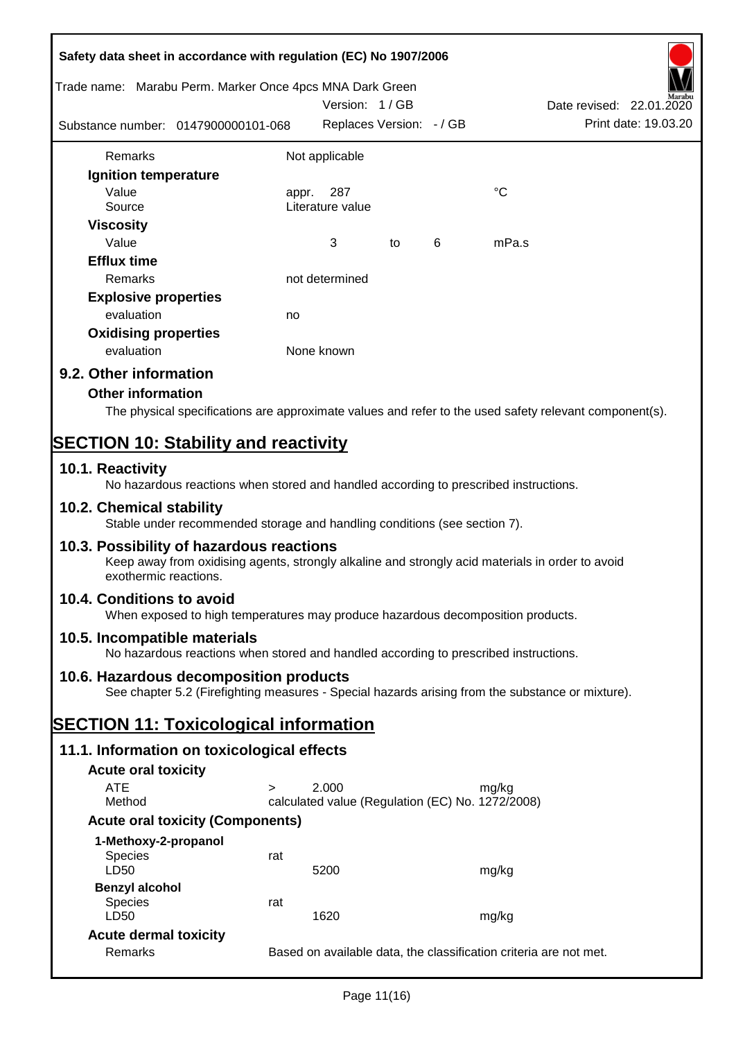| Safety data sheet in accordance with regulation (EC) No 1907/2006 |                                                                                                  |            |                          |    |   |                                                  |                                                                                                        |
|-------------------------------------------------------------------|--------------------------------------------------------------------------------------------------|------------|--------------------------|----|---|--------------------------------------------------|--------------------------------------------------------------------------------------------------------|
| Trade name: Marabu Perm. Marker Once 4pcs MNA Dark Green          |                                                                                                  |            | Version: 1/GB            |    |   |                                                  | Date revised: 22.01.2020                                                                               |
| Substance number: 0147900000101-068                               |                                                                                                  |            | Replaces Version: - / GB |    |   |                                                  | Print date: 19.03.20                                                                                   |
| Remarks                                                           |                                                                                                  |            | Not applicable           |    |   |                                                  |                                                                                                        |
| Ignition temperature                                              |                                                                                                  |            |                          |    |   |                                                  |                                                                                                        |
| Value<br>Source                                                   |                                                                                                  | appr.      | 287<br>Literature value  |    |   | $^{\circ}C$                                      |                                                                                                        |
| <b>Viscosity</b><br>Value                                         |                                                                                                  |            | 3                        | to | 6 | mPa.s                                            |                                                                                                        |
| <b>Efflux time</b><br>Remarks                                     |                                                                                                  |            | not determined           |    |   |                                                  |                                                                                                        |
|                                                                   |                                                                                                  |            |                          |    |   |                                                  |                                                                                                        |
| <b>Explosive properties</b>                                       |                                                                                                  |            |                          |    |   |                                                  |                                                                                                        |
| evaluation                                                        |                                                                                                  | no         |                          |    |   |                                                  |                                                                                                        |
| <b>Oxidising properties</b><br>evaluation                         |                                                                                                  | None known |                          |    |   |                                                  |                                                                                                        |
| 9.2. Other information                                            |                                                                                                  |            |                          |    |   |                                                  |                                                                                                        |
| <b>Other information</b>                                          |                                                                                                  |            |                          |    |   |                                                  |                                                                                                        |
|                                                                   |                                                                                                  |            |                          |    |   |                                                  | The physical specifications are approximate values and refer to the used safety relevant component(s). |
| <b>SECTION 10: Stability and reactivity</b>                       |                                                                                                  |            |                          |    |   |                                                  |                                                                                                        |
| 10.1. Reactivity                                                  | No hazardous reactions when stored and handled according to prescribed instructions.             |            |                          |    |   |                                                  |                                                                                                        |
| 10.2. Chemical stability                                          | Stable under recommended storage and handling conditions (see section 7).                        |            |                          |    |   |                                                  |                                                                                                        |
| 10.3. Possibility of hazardous reactions<br>exothermic reactions. | Keep away from oxidising agents, strongly alkaline and strongly acid materials in order to avoid |            |                          |    |   |                                                  |                                                                                                        |
| 10.4. Conditions to avoid                                         | When exposed to high temperatures may produce hazardous decomposition products.                  |            |                          |    |   |                                                  |                                                                                                        |
| 10.5. Incompatible materials                                      | No hazardous reactions when stored and handled according to prescribed instructions.             |            |                          |    |   |                                                  |                                                                                                        |
| 10.6. Hazardous decomposition products                            | See chapter 5.2 (Firefighting measures - Special hazards arising from the substance or mixture). |            |                          |    |   |                                                  |                                                                                                        |
| <b>SECTION 11: Toxicological information</b>                      |                                                                                                  |            |                          |    |   |                                                  |                                                                                                        |
| 11.1. Information on toxicological effects                        |                                                                                                  |            |                          |    |   |                                                  |                                                                                                        |
| <b>Acute oral toxicity</b>                                        |                                                                                                  |            |                          |    |   |                                                  |                                                                                                        |
| <b>ATE</b>                                                        | $\geq$                                                                                           |            | 2.000                    |    |   | mg/kg                                            |                                                                                                        |
| Method                                                            |                                                                                                  |            |                          |    |   | calculated value (Regulation (EC) No. 1272/2008) |                                                                                                        |
|                                                                   | <b>Acute oral toxicity (Components)</b>                                                          |            |                          |    |   |                                                  |                                                                                                        |
| 1-Methoxy-2-propanol                                              |                                                                                                  |            |                          |    |   |                                                  |                                                                                                        |
| <b>Species</b><br>LD50                                            | rat                                                                                              |            | 5200                     |    |   | mg/kg                                            |                                                                                                        |
| <b>Benzyl alcohol</b>                                             |                                                                                                  |            |                          |    |   |                                                  |                                                                                                        |
| Species<br>LD50                                                   | rat                                                                                              |            | 1620                     |    |   | mg/kg                                            |                                                                                                        |
| <b>Acute dermal toxicity</b>                                      |                                                                                                  |            |                          |    |   |                                                  |                                                                                                        |
| Remarks                                                           |                                                                                                  |            |                          |    |   |                                                  | Based on available data, the classification criteria are not met.                                      |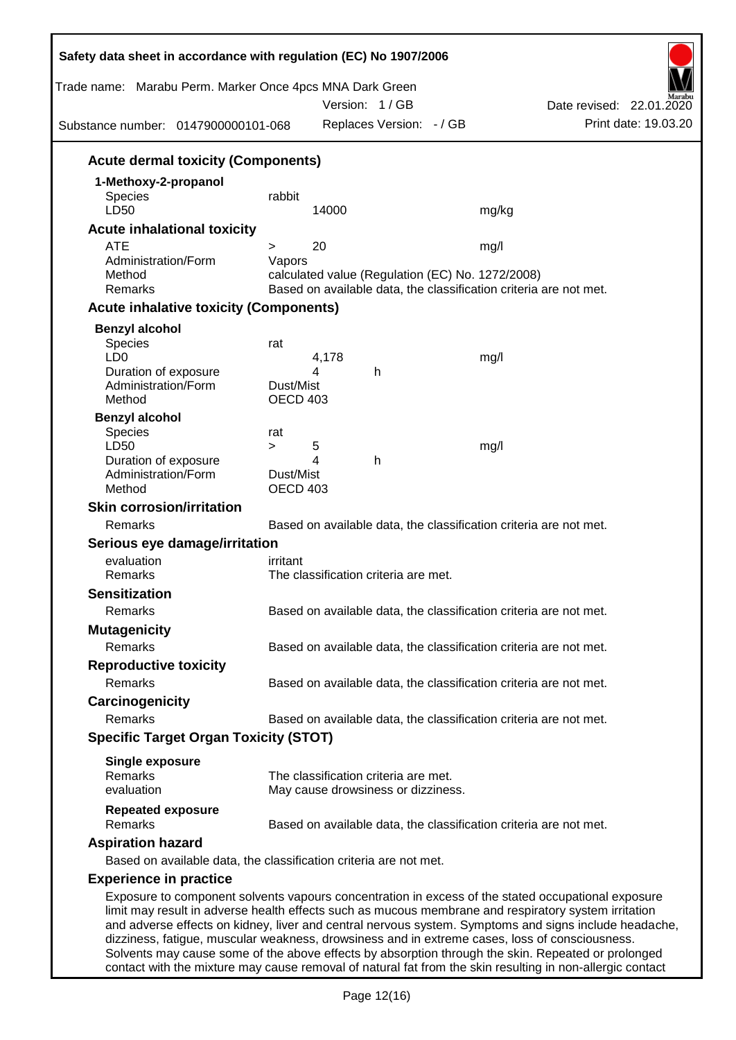| Trade name: Marabu Perm. Marker Once 4pcs MNA Dark Green<br>Substance number: 0147900000101-068 |                       | Version: 1/GB | Replaces Version: - / GB                         | Date revised: 22.01.2020<br>Print date: 19.03.20                                                                                                                                                                                                                                                                                                                                                                      |
|-------------------------------------------------------------------------------------------------|-----------------------|---------------|--------------------------------------------------|-----------------------------------------------------------------------------------------------------------------------------------------------------------------------------------------------------------------------------------------------------------------------------------------------------------------------------------------------------------------------------------------------------------------------|
| <b>Acute dermal toxicity (Components)</b>                                                       |                       |               |                                                  |                                                                                                                                                                                                                                                                                                                                                                                                                       |
| 1-Methoxy-2-propanol                                                                            |                       |               |                                                  |                                                                                                                                                                                                                                                                                                                                                                                                                       |
| <b>Species</b><br>LD50                                                                          | rabbit                | 14000         |                                                  | mg/kg                                                                                                                                                                                                                                                                                                                                                                                                                 |
| <b>Acute inhalational toxicity</b>                                                              |                       |               |                                                  |                                                                                                                                                                                                                                                                                                                                                                                                                       |
| <b>ATE</b>                                                                                      | $\geq$                | 20            |                                                  | mg/l                                                                                                                                                                                                                                                                                                                                                                                                                  |
| Administration/Form<br>Method<br>Remarks                                                        | Vapors                |               | calculated value (Regulation (EC) No. 1272/2008) | Based on available data, the classification criteria are not met.                                                                                                                                                                                                                                                                                                                                                     |
| <b>Acute inhalative toxicity (Components)</b>                                                   |                       |               |                                                  |                                                                                                                                                                                                                                                                                                                                                                                                                       |
|                                                                                                 |                       |               |                                                  |                                                                                                                                                                                                                                                                                                                                                                                                                       |
| <b>Benzyl alcohol</b><br>Species<br>LD <sub>0</sub>                                             | rat                   | 4,178         |                                                  | mg/l                                                                                                                                                                                                                                                                                                                                                                                                                  |
| Duration of exposure<br>Administration/Form<br>Method                                           | Dust/Mist<br>OECD 403 | 4             | h                                                |                                                                                                                                                                                                                                                                                                                                                                                                                       |
| <b>Benzyl alcohol</b><br>Species                                                                | rat                   |               |                                                  |                                                                                                                                                                                                                                                                                                                                                                                                                       |
| LD50                                                                                            | $\geq$                | 5             |                                                  | mg/l                                                                                                                                                                                                                                                                                                                                                                                                                  |
| Duration of exposure<br>Administration/Form<br>Method                                           | Dust/Mist<br>OECD 403 | 4             | h                                                |                                                                                                                                                                                                                                                                                                                                                                                                                       |
| <b>Skin corrosion/irritation</b>                                                                |                       |               |                                                  |                                                                                                                                                                                                                                                                                                                                                                                                                       |
| Remarks                                                                                         |                       |               |                                                  | Based on available data, the classification criteria are not met.                                                                                                                                                                                                                                                                                                                                                     |
| Serious eye damage/irritation                                                                   |                       |               |                                                  |                                                                                                                                                                                                                                                                                                                                                                                                                       |
| evaluation                                                                                      | irritant              |               |                                                  |                                                                                                                                                                                                                                                                                                                                                                                                                       |
| Remarks                                                                                         |                       |               | The classification criteria are met.             |                                                                                                                                                                                                                                                                                                                                                                                                                       |
| <b>Sensitization</b>                                                                            |                       |               |                                                  |                                                                                                                                                                                                                                                                                                                                                                                                                       |
| Remarks                                                                                         |                       |               |                                                  | Based on available data, the classification criteria are not met.                                                                                                                                                                                                                                                                                                                                                     |
| <b>Mutagenicity</b>                                                                             |                       |               |                                                  |                                                                                                                                                                                                                                                                                                                                                                                                                       |
| Remarks                                                                                         |                       |               |                                                  | Based on available data, the classification criteria are not met.                                                                                                                                                                                                                                                                                                                                                     |
| <b>Reproductive toxicity</b>                                                                    |                       |               |                                                  |                                                                                                                                                                                                                                                                                                                                                                                                                       |
| Remarks                                                                                         |                       |               |                                                  | Based on available data, the classification criteria are not met.                                                                                                                                                                                                                                                                                                                                                     |
| Carcinogenicity                                                                                 |                       |               |                                                  |                                                                                                                                                                                                                                                                                                                                                                                                                       |
| Remarks                                                                                         |                       |               |                                                  | Based on available data, the classification criteria are not met.                                                                                                                                                                                                                                                                                                                                                     |
| <b>Specific Target Organ Toxicity (STOT)</b>                                                    |                       |               |                                                  |                                                                                                                                                                                                                                                                                                                                                                                                                       |
| <b>Single exposure</b><br>Remarks                                                               |                       |               | The classification criteria are met.             |                                                                                                                                                                                                                                                                                                                                                                                                                       |
| evaluation                                                                                      |                       |               | May cause drowsiness or dizziness.               |                                                                                                                                                                                                                                                                                                                                                                                                                       |
| <b>Repeated exposure</b><br>Remarks                                                             |                       |               |                                                  | Based on available data, the classification criteria are not met.                                                                                                                                                                                                                                                                                                                                                     |
| <b>Aspiration hazard</b>                                                                        |                       |               |                                                  |                                                                                                                                                                                                                                                                                                                                                                                                                       |
| Based on available data, the classification criteria are not met.                               |                       |               |                                                  |                                                                                                                                                                                                                                                                                                                                                                                                                       |
| <b>Experience in practice</b>                                                                   |                       |               |                                                  |                                                                                                                                                                                                                                                                                                                                                                                                                       |
|                                                                                                 |                       |               |                                                  | Exposure to component solvents vapours concentration in excess of the stated occupational exposure<br>limit may result in adverse health effects such as mucous membrane and respiratory system irritation<br>and adverse effects on kidney, liver and central nervous system. Symptoms and signs include headache,<br>dizziness, fatigue, muscular weakness, drowsiness and in extreme cases, loss of consciousness. |

Solvents may cause some of the above effects by absorption through the skin. Repeated or prolonged contact with the mixture may cause removal of natural fat from the skin resulting in non-allergic contact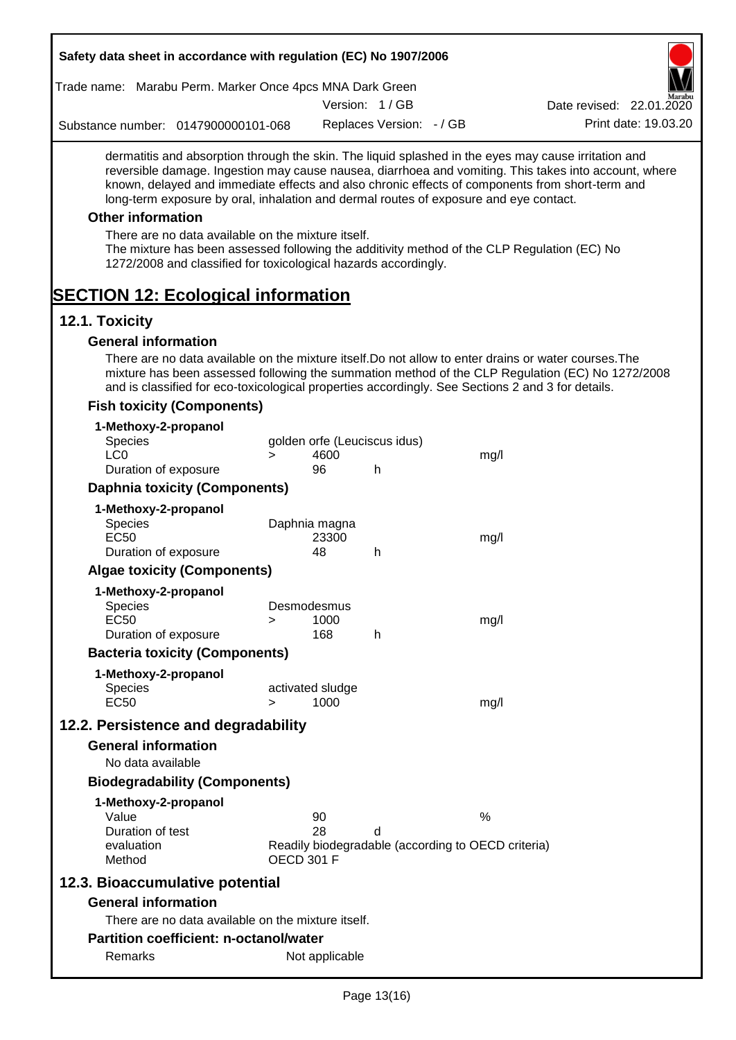| Safety data sheet in accordance with regulation (EC) No 1907/2006                                                                                                                                                                                                                                |                   |            |                              |                                                    |                                                                                                       |
|--------------------------------------------------------------------------------------------------------------------------------------------------------------------------------------------------------------------------------------------------------------------------------------------------|-------------------|------------|------------------------------|----------------------------------------------------|-------------------------------------------------------------------------------------------------------|
| Trade name: Marabu Perm. Marker Once 4pcs MNA Dark Green                                                                                                                                                                                                                                         |                   |            |                              |                                                    |                                                                                                       |
|                                                                                                                                                                                                                                                                                                  |                   |            | Version: 1/GB                |                                                    | Date revised: 22.01.2020                                                                              |
| Substance number: 0147900000101-068                                                                                                                                                                                                                                                              |                   |            | Replaces Version: - / GB     |                                                    | Print date: 19.03.20                                                                                  |
| dermatitis and absorption through the skin. The liquid splashed in the eyes may cause irritation and<br>known, delayed and immediate effects and also chronic effects of components from short-term and<br>long-term exposure by oral, inhalation and dermal routes of exposure and eye contact. |                   |            |                              |                                                    | reversible damage. Ingestion may cause nausea, diarrhoea and vomiting. This takes into account, where |
| <b>Other information</b>                                                                                                                                                                                                                                                                         |                   |            |                              |                                                    |                                                                                                       |
| There are no data available on the mixture itself.<br>The mixture has been assessed following the additivity method of the CLP Regulation (EC) No<br>1272/2008 and classified for toxicological hazards accordingly.                                                                             |                   |            |                              |                                                    |                                                                                                       |
| <b>SECTION 12: Ecological information</b>                                                                                                                                                                                                                                                        |                   |            |                              |                                                    |                                                                                                       |
| 12.1. Toxicity                                                                                                                                                                                                                                                                                   |                   |            |                              |                                                    |                                                                                                       |
| <b>General information</b>                                                                                                                                                                                                                                                                       |                   |            |                              |                                                    |                                                                                                       |
| There are no data available on the mixture itself. Do not allow to enter drains or water courses. The<br>and is classified for eco-toxicological properties accordingly. See Sections 2 and 3 for details.                                                                                       |                   |            |                              |                                                    | mixture has been assessed following the summation method of the CLP Regulation (EC) No 1272/2008      |
| <b>Fish toxicity (Components)</b>                                                                                                                                                                                                                                                                |                   |            |                              |                                                    |                                                                                                       |
| 1-Methoxy-2-propanol                                                                                                                                                                                                                                                                             |                   |            |                              |                                                    |                                                                                                       |
| <b>Species</b>                                                                                                                                                                                                                                                                                   |                   |            | golden orfe (Leuciscus idus) |                                                    |                                                                                                       |
| LC <sub>0</sub><br>Duration of exposure                                                                                                                                                                                                                                                          | $\geq$            | 4600<br>96 | h                            | mg/l                                               |                                                                                                       |
| <b>Daphnia toxicity (Components)</b>                                                                                                                                                                                                                                                             |                   |            |                              |                                                    |                                                                                                       |
| 1-Methoxy-2-propanol                                                                                                                                                                                                                                                                             |                   |            |                              |                                                    |                                                                                                       |
| Species                                                                                                                                                                                                                                                                                          | Daphnia magna     |            |                              |                                                    |                                                                                                       |
| <b>EC50</b>                                                                                                                                                                                                                                                                                      |                   | 23300      |                              | mg/l                                               |                                                                                                       |
| Duration of exposure                                                                                                                                                                                                                                                                             |                   | 48         | h                            |                                                    |                                                                                                       |
| <b>Algae toxicity (Components)</b>                                                                                                                                                                                                                                                               |                   |            |                              |                                                    |                                                                                                       |
| 1-Methoxy-2-propanol                                                                                                                                                                                                                                                                             |                   |            |                              |                                                    |                                                                                                       |
| Species<br><b>EC50</b>                                                                                                                                                                                                                                                                           | Desmodesmus<br>⋗  | 1000       |                              | mg/l                                               |                                                                                                       |
| Duration of exposure                                                                                                                                                                                                                                                                             |                   | 168        | h                            |                                                    |                                                                                                       |
| <b>Bacteria toxicity (Components)</b>                                                                                                                                                                                                                                                            |                   |            |                              |                                                    |                                                                                                       |
| 1-Methoxy-2-propanol                                                                                                                                                                                                                                                                             |                   |            |                              |                                                    |                                                                                                       |
| <b>Species</b>                                                                                                                                                                                                                                                                                   | activated sludge  |            |                              |                                                    |                                                                                                       |
| <b>EC50</b>                                                                                                                                                                                                                                                                                      | $\geq$            | 1000       |                              | mg/l                                               |                                                                                                       |
| 12.2. Persistence and degradability                                                                                                                                                                                                                                                              |                   |            |                              |                                                    |                                                                                                       |
| <b>General information</b>                                                                                                                                                                                                                                                                       |                   |            |                              |                                                    |                                                                                                       |
| No data available                                                                                                                                                                                                                                                                                |                   |            |                              |                                                    |                                                                                                       |
| <b>Biodegradability (Components)</b>                                                                                                                                                                                                                                                             |                   |            |                              |                                                    |                                                                                                       |
| 1-Methoxy-2-propanol                                                                                                                                                                                                                                                                             |                   |            |                              |                                                    |                                                                                                       |
| Value                                                                                                                                                                                                                                                                                            |                   | 90         |                              | $\%$                                               |                                                                                                       |
| Duration of test<br>evaluation                                                                                                                                                                                                                                                                   |                   | 28         | d                            | Readily biodegradable (according to OECD criteria) |                                                                                                       |
| Method                                                                                                                                                                                                                                                                                           | <b>OECD 301 F</b> |            |                              |                                                    |                                                                                                       |
|                                                                                                                                                                                                                                                                                                  |                   |            |                              |                                                    |                                                                                                       |
| 12.3. Bioaccumulative potential                                                                                                                                                                                                                                                                  |                   |            |                              |                                                    |                                                                                                       |
| <b>General information</b>                                                                                                                                                                                                                                                                       |                   |            |                              |                                                    |                                                                                                       |

There are no data available on the mixture itself.

# **Partition coefficient: n-octanol/water**

Remarks Not applicable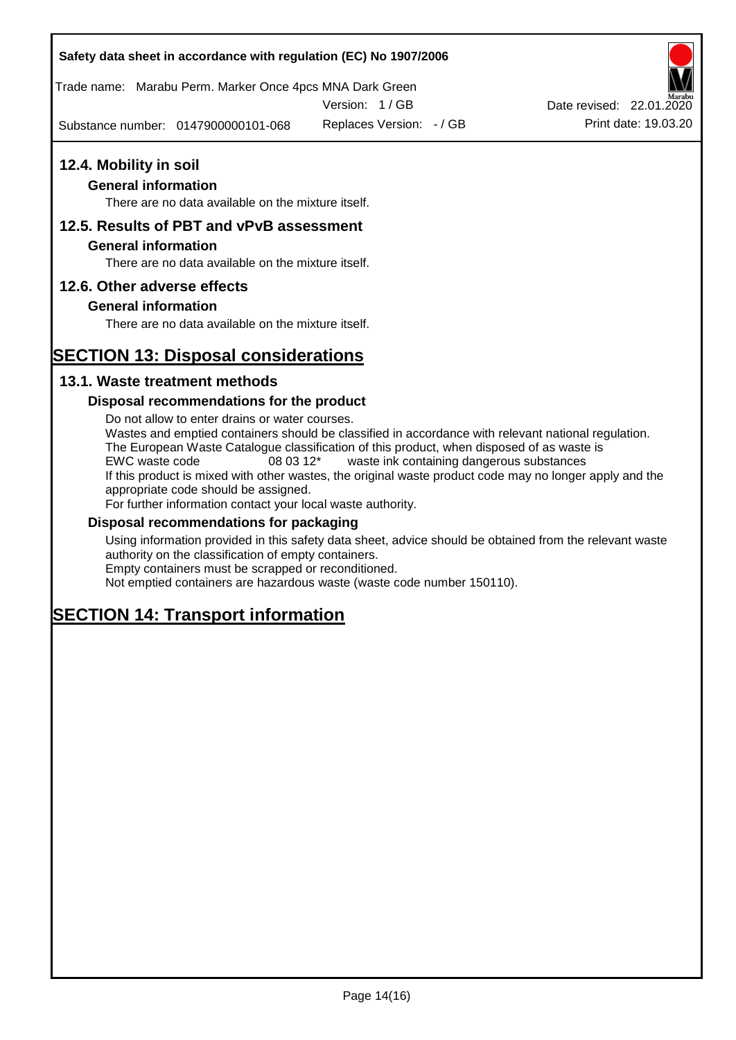Trade name: Marabu Perm. Marker Once 4pcs MNA Dark Green

Version: 1 / GB

Substance number: 0147900000101-068



### **General information**

There are no data available on the mixture itself.

# **12.5. Results of PBT and vPvB assessment**

### **General information**

There are no data available on the mixture itself.

### **12.6. Other adverse effects**

### **General information**

There are no data available on the mixture itself.

# **SECTION 13: Disposal considerations**

## **13.1. Waste treatment methods**

### **Disposal recommendations for the product**

Do not allow to enter drains or water courses. Wastes and emptied containers should be classified in accordance with relevant national regulation. The European Waste Catalogue classification of this product, when disposed of as waste is EWC waste code 08 03 12\* waste ink containing dangerous substances If this product is mixed with other wastes, the original waste product code may no longer apply and the appropriate code should be assigned. For further information contact your local waste authority.

### **Disposal recommendations for packaging**

Using information provided in this safety data sheet, advice should be obtained from the relevant waste authority on the classification of empty containers. Empty containers must be scrapped or reconditioned.

Not emptied containers are hazardous waste (waste code number 150110).

# **SECTION 14: Transport information**



Replaces Version:  $-$  / GB Print date: 19.03.20 Date revised: 22.01.2020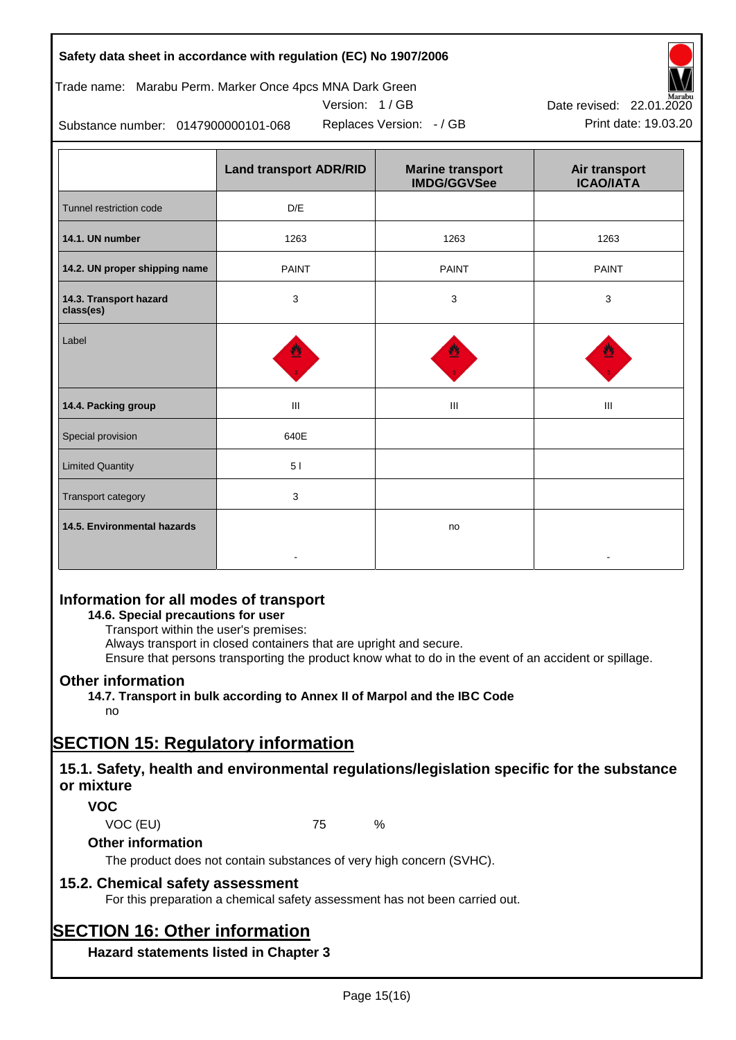# Trade name: Marabu Perm. Marker Once 4pcs MNA Dark Green



Version: 1 / GB

Replaces Version:  $-$  / GB Print date: 19.03.20

Substance number: 0147900000101-068

|                                     | <b>Land transport ADR/RID</b> | <b>Marine transport</b><br><b>IMDG/GGVSee</b> | Air transport<br><b>ICAO/IATA</b> |
|-------------------------------------|-------------------------------|-----------------------------------------------|-----------------------------------|
| Tunnel restriction code             | D/E                           |                                               |                                   |
| 14.1. UN number                     | 1263                          | 1263                                          | 1263                              |
| 14.2. UN proper shipping name       | <b>PAINT</b>                  | <b>PAINT</b>                                  | <b>PAINT</b>                      |
| 14.3. Transport hazard<br>class(es) | 3                             | 3                                             | 3                                 |
| Label                               |                               |                                               |                                   |
| 14.4. Packing group                 | Ш                             | Ш                                             | Ш                                 |
| Special provision                   | 640E                          |                                               |                                   |
| <b>Limited Quantity</b>             | 51                            |                                               |                                   |
| Transport category                  | 3                             |                                               |                                   |
| 14.5. Environmental hazards         |                               | no                                            |                                   |

# **Information for all modes of transport**

# **14.6. Special precautions for user**

Transport within the user's premises:

Always transport in closed containers that are upright and secure.

Ensure that persons transporting the product know what to do in the event of an accident or spillage.

# **Other information**

**14.7. Transport in bulk according to Annex II of Marpol and the IBC Code**

# no

# **SECTION 15: Regulatory information**

# **15.1. Safety, health and environmental regulations/legislation specific for the substance or mixture**

# **VOC**

VOC (EU) 75 %

# **Other information**

The product does not contain substances of very high concern (SVHC).

# **15.2. Chemical safety assessment**

For this preparation a chemical safety assessment has not been carried out.

# **SECTION 16: Other information**

**Hazard statements listed in Chapter 3**